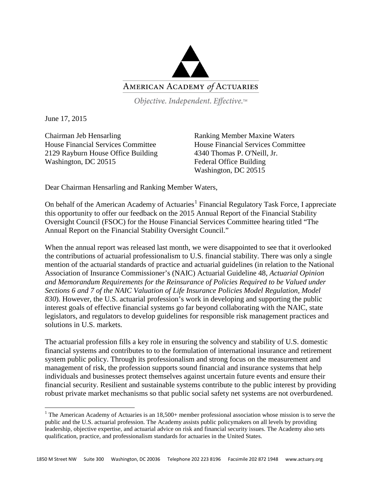

Objective. Independent. Effective.™

June 17, 2015

Chairman Jeb Hensarling House Financial Services Committee 2129 Rayburn House Office Building Washington, DC 20515

Ranking Member Maxine Waters House Financial Services Committee 4340 Thomas P. O'Neill, Jr. Federal Office Building Washington, DC 20515

Dear Chairman Hensarling and Ranking Member Waters,

On behalf of the American Academy of Actuaries<sup>[1](#page-0-0)</sup> Financial Regulatory Task Force, I appreciate this opportunity to offer our feedback on the 2015 Annual Report of the Financial Stability Oversight Council (FSOC) for the House Financial Services Committee hearing titled "The Annual Report on the Financial Stability Oversight Council."

When the annual report was released last month, we were disappointed to see that it overlooked the contributions of actuarial professionalism to U.S. financial stability. There was only a single mention of the actuarial standards of practice and actuarial guidelines (in relation to the National Association of Insurance Commissioner's (NAIC) Actuarial Guideline 48, *Actuarial Opinion and Memorandum Requirements for the Reinsurance of Policies Required to be Valued under Sections 6 and 7 of the NAIC Valuation of Life Insurance Policies Model Regulation, Model 830*). However, the U.S. actuarial profession's work in developing and supporting the public interest goals of effective financial systems go far beyond collaborating with the NAIC, state legislators, and regulators to develop guidelines for responsible risk management practices and solutions in U.S. markets.

The actuarial profession fills a key role in ensuring the solvency and stability of U.S. domestic financial systems and contributes to to the formulation of international insurance and retirement system public policy. Through its professionalism and strong focus on the measurement and management of risk, the profession supports sound financial and insurance systems that help individuals and businesses protect themselves against uncertain future events and ensure their financial security. Resilient and sustainable systems contribute to the public interest by providing robust private market mechanisms so that public social safety net systems are not overburdened.

<span id="page-0-0"></span><sup>&</sup>lt;sup>1</sup> The American Academy of Actuaries is an  $18,500+$  member professional association whose mission is to serve the public and the U.S. actuarial profession. The Academy assists public policymakers on all levels by providing leadership, objective expertise, and actuarial advice on risk and financial security issues. The Academy also sets qualification, practice, and professionalism standards for actuaries in the United States.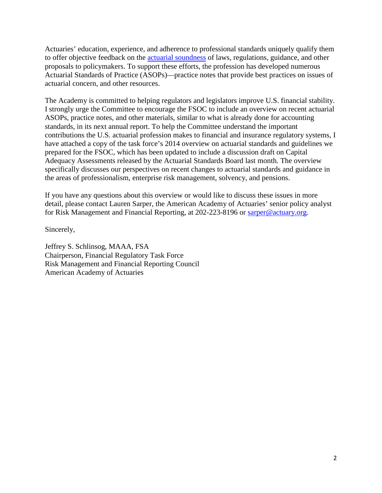Actuaries' education, experience, and adherence to professional standards uniquely qualify them to offer objective feedback on the [actuarial soundness](http://actuary.org/files/Actuarial_Soundness_Special_Report_5.10.12.pdf) of laws, regulations, guidance, and other proposals to policymakers. To support these efforts, the profession has developed numerous Actuarial Standards of Practice (ASOPs)—practice notes that provide best practices on issues of actuarial concern, and other resources.

The Academy is committed to helping regulators and legislators improve U.S. financial stability. I strongly urge the Committee to encourage the FSOC to include an overview on recent actuarial ASOPs, practice notes, and other materials, similar to what is already done for accounting standards, in its next annual report. To help the Committee understand the important contributions the U.S. actuarial profession makes to financial and insurance regulatory systems, I have attached a copy of the task force's 2014 overview on actuarial standards and guidelines we prepared for the FSOC, which has been updated to include a discussion draft on Capital Adequacy Assessments released by the Actuarial Standards Board last month. The overview specifically discusses our perspectives on recent changes to actuarial standards and guidance in the areas of professionalism, enterprise risk management, solvency, and pensions.

If you have any questions about this overview or would like to discuss these issues in more detail, please contact Lauren Sarper, the American Academy of Actuaries' senior policy analyst for Risk Management and Financial Reporting, at 202-223-8196 or [sarper@actuary.org.](mailto:sarper@actuary.org)

Sincerely,

Jeffrey S. Schlinsog, MAAA, FSA Chairperson, Financial Regulatory Task Force Risk Management and Financial Reporting Council American Academy of Actuaries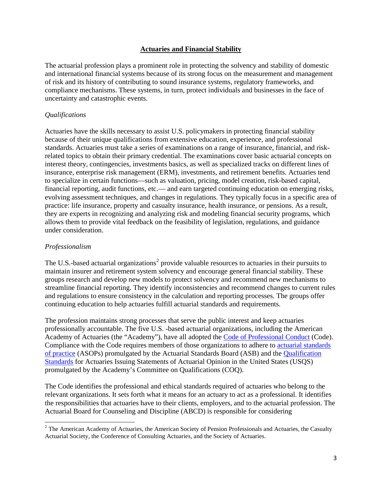## **Actuaries and Financial Stability**

The actuarial profession plays a prominent role in protecting the solvency and stability of domestic and international financial systems because of its strong focus on the measurement and management of risk and its history of contributing to sound insurance systems, regulatory frameworks, and compliance mechanisms. These systems, in turn, protect individuals and businesses in the face of uncertainty and catastrophic events.

## *Qualifications*

Actuaries have the skills necessary to assist U.S. policymakers in protecting financial stability because of their unique qualifications from extensive education, experience, and professional standards. Actuaries must take a series of examinations on a range of insurance, financial, and riskrelated topics to obtain their primary credential. The examinations cover basic actuarial concepts on interest theory, contingencies, investments basics, as well as specialized tracks on different lines of insurance, enterprise risk management (ERM), investments, and retirement benefits. Actuaries tend to specialize in certain functions—such as valuation, pricing, model creation, risk-based capital, financial reporting, audit functions, etc.— and earn targeted continuing education on emerging risks, evolving assessment techniques, and changes in regulations. They typically focus in a specific area of practice: life insurance, property and casualty insurance, health insurance, or pensions. As a result, they are experts in recognizing and analyzing risk and modeling financial security programs, which allows them to provide vital feedback on the feasibility of legislation, regulations, and guidance under consideration.

## *Professionalism*

The U.S.-based actuarial organizations<sup>[2](#page-2-0)</sup> provide valuable resources to actuaries in their pursuits to maintain insurer and retirement system solvency and encourage general financial stability. These groups research and develop new models to protect solvency and recommend new mechanisms to streamline financial reporting. They identify inconsistencies and recommend changes to current rules and regulations to ensure consistency in the calculation and reporting processes. The groups offer continuing education to help actuaries fulfill actuarial standards and requirements.

The profession maintains strong processes that serve the public interest and keep actuaries professionally accountable. The five U.S. -based actuarial organizations, including the American Academy of Actuaries (the "Academy"), have all adopted the [Code of Professional Conduct](http://www.actuary.org/files/code_of_conduct.8_1.pdf) (Code). Compliance with the Code requires members of those organizations to adhere to [actuarial standards](http://www.actuarialstandardsboard.org/asops.asp)  [of practice](http://www.actuarialstandardsboard.org/asops.asp) (ASOPs) promulgated by the Actuarial Standards Board (ASB) and the [Qualification](http://www.actuary.org/files/qualification_standards.pdf)  [Standards](http://www.actuary.org/files/qualification_standards.pdf) for Actuaries Issuing Statements of Actuarial Opinion in the United States (USQS) promulgated by the Academy's Committee on Qualifications (COQ).

The Code identifies the professional and ethical standards required of actuaries who belong to the relevant organizations. It sets forth what it means for an actuary to act as a professional. It identifies the responsibilities that actuaries have to their clients, employers, and to the actuarial profession. The Actuarial Board for Counseling and Discipline (ABCD) is responsible for considering

<span id="page-2-0"></span><sup>&</sup>lt;sup>2</sup> The American Academy of Actuaries, the American Society of Pension Professionals and Actuaries, the Casualty Actuarial Society, the Conference of Consulting Actuaries, and the Society of Actuaries.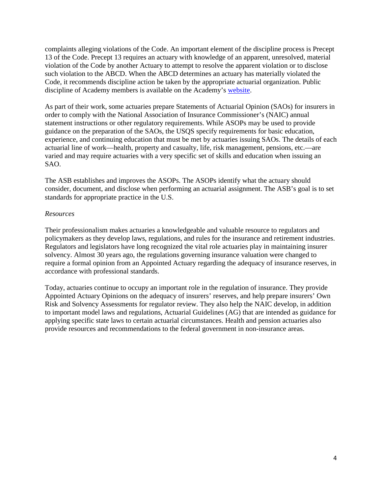complaints alleging violations of the Code. An important element of the discipline process is Precept 13 of the Code. Precept 13 requires an actuary with knowledge of an apparent, unresolved, material violation of the Code by another Actuary to attempt to resolve the apparent violation or to disclose such violation to the ABCD. When the ABCD determines an actuary has materially violated the Code, it recommends discipline action be taken by the appropriate actuarial organization. Public discipline of Academy members is available on the Academy's [website.](http://www.actuary.org/content/public-discipline)

As part of their work, some actuaries prepare Statements of Actuarial Opinion (SAOs) for insurers in order to comply with the National Association of Insurance Commissioner's (NAIC) annual statement instructions or other regulatory requirements. While ASOPs may be used to provide guidance on the preparation of the SAOs, the USQS specify requirements for basic education, experience, and continuing education that must be met by actuaries issuing SAOs. The details of each actuarial line of work—health, property and casualty, life, risk management, pensions, etc.—are varied and may require actuaries with a very specific set of skills and education when issuing an SAO.

The ASB establishes and improves the ASOPs. The ASOPs identify what the actuary should consider, document, and disclose when performing an actuarial assignment. The ASB's goal is to set standards for appropriate practice in the U.S.

## *Resources*

Their professionalism makes actuaries a knowledgeable and valuable resource to regulators and policymakers as they develop laws, regulations, and rules for the insurance and retirement industries. Regulators and legislators have long recognized the vital role actuaries play in maintaining insurer solvency. Almost 30 years ago, the regulations governing insurance valuation were changed to require a formal opinion from an Appointed Actuary regarding the adequacy of insurance reserves, in accordance with professional standards.

Today, actuaries continue to occupy an important role in the regulation of insurance. They provide Appointed Actuary Opinions on the adequacy of insurers' reserves, and help prepare insurers' Own Risk and Solvency Assessments for regulator review. They also help the NAIC develop, in addition to important model laws and regulations, Actuarial Guidelines (AG) that are intended as guidance for applying specific state laws to certain actuarial circumstances. Health and pension actuaries also provide resources and recommendations to the federal government in non-insurance areas.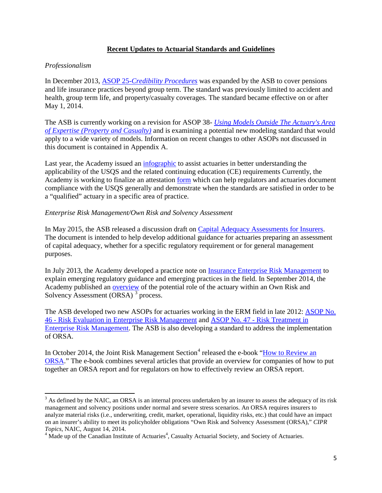## **Recent Updates to Actuarial Standards and Guidelines**

## *Professionalism*

In December 2013, ASOP 25-*[Credibility Procedures](http://www.actuarialstandardsboard.org/pdf/asops/asop025_174.pdf)* was expanded by the ASB to cover pensions and life insurance practices beyond group term. The standard was previously limited to accident and health, group term life, and property/casualty coverages. The standard became effective on or after May 1, 2014.

The ASB is currently working on a revision for ASOP 38- *[Using Models Outside The Actuary's Area](http://www.actuarialstandardsboard.org/pdf/asops/asop038_155.pdf)  [of Expertise \(Property and Casualty\)](http://www.actuarialstandardsboard.org/pdf/asops/asop038_155.pdf)* and is examining a potential new modeling standard that would apply to a wide variety of models. Information on recent changes to other ASOPs not discussed in this document is contained in Appendix A.

Last year, the Academy issued an *infographic* to assist actuaries in better understanding the applicability of the USQS and the related continuing education (CE) requirements Currently, the Academy is working to finalize an attestation [form](http://www.actuary.org/files/AAA_USQSAttestation2014FormDRAFT.pdf) which can help regulators and actuaries document compliance with the USQS generally and demonstrate when the standards are satisfied in order to be a "qualified" actuary in a specific area of practice.

#### *Enterprise Risk Management/Own Risk and Solvency Assessment*

In May 2015, the ASB released a discussion draft on [Capital Adequacy Assessments for Insurers.](http://www.actuarialstandardsboard.org/asops/capital-adequacy-assessment-for-insurers/) The document is intended to help develop additional guidance for actuaries preparing an assessment of capital adequacy, whether for a specific regulatory requirement or for general management purposes.

In July 2013, the Academy developed a practice note on [Insurance Enterprise Risk Management](http://actuary.org/files/ERM_%20Practice_Note_July_2013_0.pdf) to explain emerging regulatory guidance and emerging practices in the field. In September 2014, the Academy published an [overview](http://actuary.org/files/ERM_Committee_Actuaries_and_ORSA_Overview_092614.pdf) of the potential role of the actuary within an Own Risk and Solvency Assessment (ORSA)<sup>[3](#page-4-0)</sup> process.

The ASB developed two new ASOPs for actuaries working in the ERM field in late 2012: [ASOP No.](http://www.actuarialstandardsboard.org/pdf/asops/asop046_165.pdf)  46 - [Risk Evaluation in Enterprise Risk Management](http://www.actuarialstandardsboard.org/pdf/asops/asop046_165.pdf) and ASOP No. 47 - [Risk Treatment in](http://www.actuarialstandardsboard.org/pdf/asops/asop047_169.pdf)  [Enterprise Risk Management.](http://www.actuarialstandardsboard.org/pdf/asops/asop047_169.pdf) The ASB is also developing a standard to address the implementation of ORSA.

In October 201[4](#page-4-1), the Joint Risk Management Section<sup>4</sup> released the e-book "How to Review an [ORSA.](https://www.soa.org/Library/Essays/jrm-essay-ebook-how-orsa-2014-toc.aspx)" The e-book combines several articles that provide an overview for companies of how to put together an ORSA report and for regulators on how to effectively review an ORSA report.

<span id="page-4-0"></span> $3$  As defined by the NAIC, an ORSA is an internal process undertaken by an insurer to assess the adequacy of its risk management and solvency positions under normal and severe stress scenarios. An ORSA requires insurers to analyze material risks (i.e., underwriting, credit, market, operational, liquidity risks, etc.) that could have an impact on an insurer's ability to meet its policyholder obligations "Own Risk and Solvency Assessment (ORSA)," *CIPR* 

<span id="page-4-1"></span>*Topics*, NAIC, August 14, 2014.<br><sup>4</sup> Made up of the Canadian Institute of Actuaries<sup>4</sup>, Casualty Actuarial Society, and Society of Actuaries.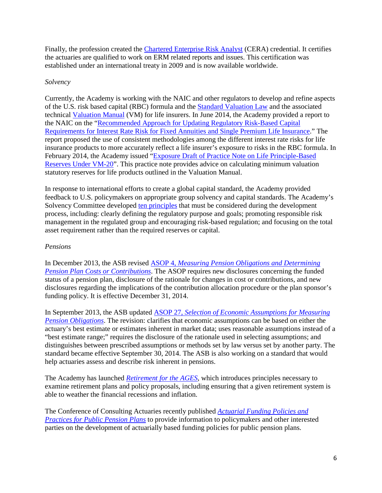Finally, the profession created the [Chartered Enterprise Risk Analyst](http://www.ceranalyst.org/) (CERA) credential. It certifies the actuaries are qualified to work on ERM related reports and issues. This certification was established under an international treaty in 2009 and is now available worldwide.

## *Solvency*

Currently, the Academy is working with the NAIC and other regulators to develop and refine aspects of the U.S. risk based capital (RBC) formula and the [Standard Valuation Law](http://www.naic.org/store/free/MDL-820.pdf) and the associated technical [Valuation Manual](http://www.naic.org/documents/committees_a_latf_140331_valuation_manual.pdf) (VM) for life insurers. In June 2014, the Academy provided a report to the NAIC on the ["Recommended Approach for Updating Regulatory Risk-Based Capital](http://actuary.org/files/C3P1_Update_Report_6-13-14.pdf)  [Requirements for Interest Rate Risk for Fixed Annuities and Single Premium Life Insurance.](http://actuary.org/files/C3P1_Update_Report_6-13-14.pdf)" The report proposed the use of consistent methodologies among the different interest rate risks for life insurance products to more accurately reflect a life insurer's exposure to risks in the RBC formula. In February 2014, the Academy issued ["Exposure Draft of Practice Note on Life Principle-Based](http://www.actuary.org/files/VM-20_Practice_Note_Exposure_Draft_2-24-14.pdf)  [Reserves Under VM-20"](http://www.actuary.org/files/VM-20_Practice_Note_Exposure_Draft_2-24-14.pdf). This practice note provides advice on calculating minimum valuation statutory reserves for life products outlined in the Valuation Manual.

In response to international efforts to create a global capital standard, the Academy provided feedback to U.S. policymakers on appropriate group solvency and capital standards. The Academy's Solvency Committee developed [ten principles](http://actuary.org/files/Academy_Basic_Solvency_Principles_for_Regulators_to_NAIC_091814.pdf) that must be considered during the development process, including: clearly defining the regulatory purpose and goals; promoting responsible risk management in the regulated group and encouraging risk-based regulation; and focusing on the total asset requirement rather than the required reserves or capital.

## *Pensions*

In December 2013, the ASB revised ASOP 4, *[Measuring Pension Obligations and Determining](http://www.actuarialstandardsboard.org/pdf/asops/asop004_173.pdf)  [Pension Plan Costs or Contributions](http://www.actuarialstandardsboard.org/pdf/asops/asop004_173.pdf)*. The ASOP requires new disclosures concerning the funded status of a pension plan, disclosure of the rationale for changes in cost or contributions, and new disclosures regarding the implications of the contribution allocation procedure or the plan sponsor's funding policy. It is effective December 31, 2014.

In September 2013, the ASB updated ASOP 27, *[Selection of Economic Assumptions for Measuring](http://www.actuarialstandardsboard.org/pdf/asops/asop027_172.pdf)  [Pension Obligations](http://www.actuarialstandardsboard.org/pdf/asops/asop027_172.pdf)*. The revision: clarifies that economic assumptions can be based on either the actuary's best estimate or estimates inherent in market data; uses reasonable assumptions instead of a "best estimate range;" requires the disclosure of the rationale used in selecting assumptions; and distinguishes between prescribed assumptions or methods set by law versus set by another party. The standard became effective September 30, 2014. The ASB is also working on a standard that would help actuaries assess and describe risk inherent in pensions.

The Academy has launched *[Retirement for the AGES](http://www.actuary.org/Retirement-for-the-AGES)*, which introduces principles necessary to examine retirement plans and policy proposals, including ensuring that a given retirement system is able to weather the financial recessions and inflation.

The Conference of Consulting Actuaries recently published *[Actuarial Funding Policies and](http://www.ccactuaries.org/publications/news/CCA-PPC-White-Paper-on-Public-Pension-Funding-Policy.pdf)  [Practices for Public Pension Plans](http://www.ccactuaries.org/publications/news/CCA-PPC-White-Paper-on-Public-Pension-Funding-Policy.pdf)* to provide information to policymakers and other interested parties on the development of actuarially based funding policies for public pension plans.